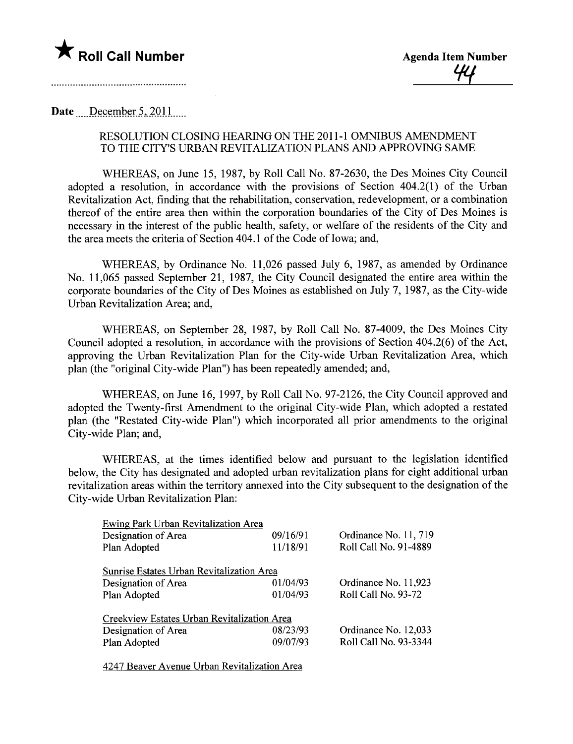

## Date  $December~5, 2011$

## RESOLUTION CLOSING HEARG ON THE 2011-1 OMNIBUS AMENDMENT TO THE CITY'S URBAN REVITALIZATION PLANS AND APPROVING SAME

WHEREAS, on June 15, 1987, by Roll Call No. 87-2630, the Des Moines City Council adopted a resolution, in accordance with the provisions of Section 404.2(1) of the Urban Revitalization Act, finding that the rehabilitation, conservation, redevelopment, or a combination thereof of the entire area then within the corporation boundaries of the City of Des Moines is necessary in the interest of the public health, safety, or welfare of the residents of the City and the area meets the criteria of Section 404.1 of the Code of Iowa; and,

WHEREAS, by Ordinance No. 11,026 passed July 6, 1987, as amended by Ordinance No. 11,065 passed September 21, 1987, the City Council designated the entire area within the corporate boundaries of the City of Des Moines as established on July 7, 1987, as the City-wide Urban Revitalization Area; and,

WHEREAS, on September 28, 1987, by Roll Call No. 87-4009, the Des Moines City Council adopted a resolution, in accordance with the provisions of Section 404.2(6) of the Act, approving the Urban Revitalization Plan for the City-wide Urban Revitalization Area, which plan (the "original City-wide Plan") has been repeatedly amended; and,

WHEREAS, on June 16, 1997, by Roll Call No. 97-2126, the City Council approved and adopted the Twenty-first Amendment to the original City-wide Plan, which adopted a restated plan (the "Restated City-wide Plan") which incorporated all prior amendments to the original City-wide Plan; and,

WHEREAS, at the times identified below and pursuant to the legislation identified below, the City has designated and adopted urban revitalization plans for eight additional urban revitalization areas within the territory annexed into the City subsequent to the designation of the City-wide Urban Revitalization Plan:

| Ewing Park Urban Revitalization Area        |          |                       |
|---------------------------------------------|----------|-----------------------|
| Designation of Area                         | 09/16/91 | Ordinance No. 11, 719 |
| Plan Adopted                                | 11/18/91 | Roll Call No. 91-4889 |
|                                             |          |                       |
| Sunrise Estates Urban Revitalization Area   |          |                       |
| Designation of Area                         | 01/04/93 | Ordinance No. 11,923  |
| Plan Adopted                                | 01/04/93 | Roll Call No. 93-72   |
| Creekview Estates Urban Revitalization Area |          |                       |
| Designation of Area                         | 08/23/93 | Ordinance No. 12,033  |
| Plan Adopted                                | 09/07/93 | Roll Call No. 93-3344 |
|                                             |          |                       |

4247 Beaver Avenue Urban Revitalization Area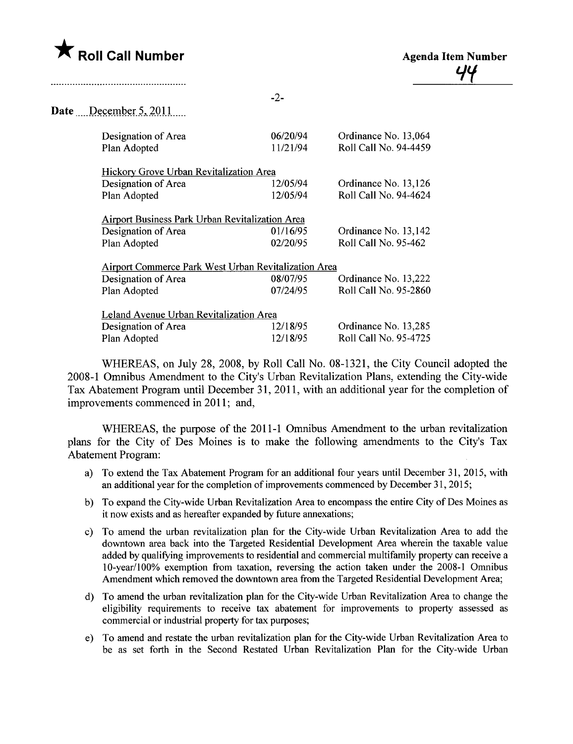

|                                                             | $-2-$    |                       |
|-------------------------------------------------------------|----------|-----------------------|
| <b>Date</b> December 5, 2011                                |          |                       |
| Designation of Area                                         | 06/20/94 | Ordinance No. 13,064  |
| Plan Adopted                                                | 11/21/94 | Roll Call No. 94-4459 |
| Hickory Grove Urban Revitalization Area                     |          |                       |
| Designation of Area                                         | 12/05/94 | Ordinance No. 13,126  |
| Plan Adopted                                                | 12/05/94 | Roll Call No. 94-4624 |
| <b>Airport Business Park Urban Revitalization Area</b>      |          |                       |
| Designation of Area                                         | 01/16/95 | Ordinance No. 13,142  |
| Plan Adopted                                                | 02/20/95 | Roll Call No. 95-462  |
| <b>Airport Commerce Park West Urban Revitalization Area</b> |          |                       |
| Designation of Area                                         | 08/07/95 | Ordinance No. 13,222  |
| Plan Adopted                                                | 07/24/95 | Roll Call No. 95-2860 |
| Leland Avenue Urban Revitalization Area                     |          |                       |
| Designation of Area                                         | 12/18/95 | Ordinance No. 13,285  |
| Plan Adopted                                                | 12/18/95 | Roll Call No. 95-4725 |

WHEREAS, on July 28, 2008, by Roll Call No. 08-1321, the City Council adopted the 2008-1 Omnibus Amendment to the City's Urban Revitalization Plans, extending the City-wide Tax Abatement Program until December 31, 2011, with an additional year for the completion of improvements commenced in 2011; and,

WHEREAS, the purpose of the 2011-1 Omnibus Amendment to the urban revitalization plans for the City of Des Moines is to make the following amendments to the City's Tax Abatement Program:

- a) To extend the Tax Abatement Program for an additional four years until December 31,2015, with an additional year for the completion of improvements commenced by December 31, 2015;
- b) To expand the City-wide Urban Revitalization Area to encompass the entire City of Des Moines as it now exists and as hereafter expanded by future annexations;
- c) To amend the urban revitalization plan for the City-wide Urban Revitalization Area to add the downtown area back into the Targeted Residential Development Area wherein the taxable value added by qualifying improvements to residential and commercial multifamily property can receive a 1 O-year/1 00% exemption from taxation, reversing the action taken under the 2008-1 Omnibus Amendment which removed the downtown area from the Targeted Residential Development Area;
- d) To amend the urban revitalization plan for the City-wide Urban Revitalization Area to change the eligibility requirements to receive tax abatement for improvements to property assessed as commercial or industrial property for tax purposes;
- e) To amend and restate the urban revitalization plan for the City-wide Urban Revitalization Area to be as set forth in the Second Restated Urban Revitalization Plan for the City-wide Urban